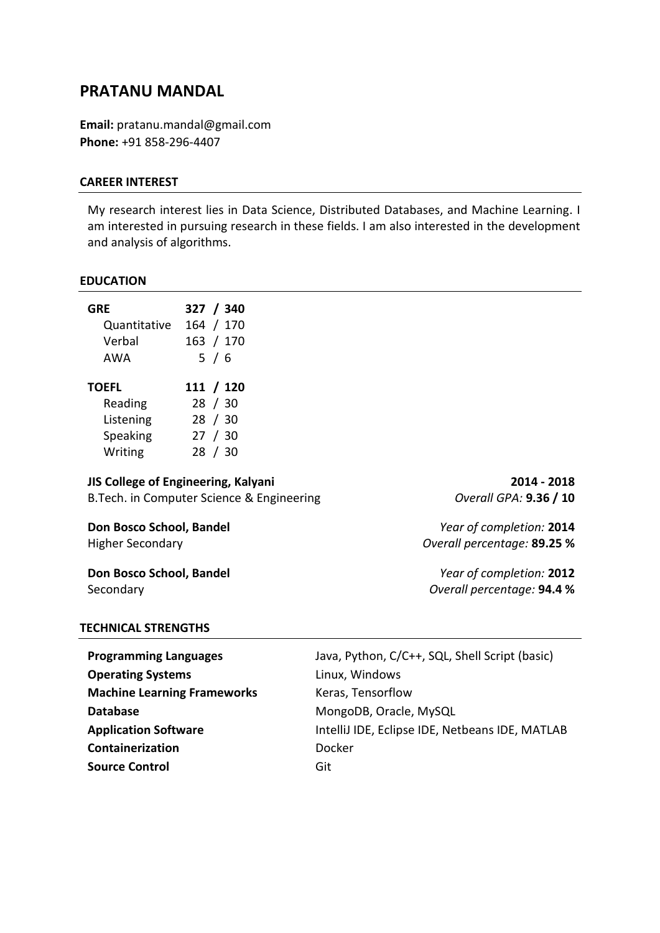# **PRATANU MANDAL**

**Email:** pratanu.mandal@gmail.com **Phone:** +91 858-296-4407

#### **CAREER INTEREST**

My research interest lies in Data Science, Distributed Databases, and Machine Learning. I am interested in pursuing research in these fields. I am also interested in the development and analysis of algorithms.

#### **EDUCATION**

| <b>GRE</b>   | 327 / 340 |
|--------------|-----------|
| Quantitative | 164 / 170 |
| Verbal       | 163 / 170 |
| AWA          | 5/6       |
|              |           |
|              |           |
| <b>TOEFL</b> | 111 / 120 |
| Reading      | 28 / 30   |
| Listening    | 28 / 30   |
| Speaking     | 27 / 30   |

## **JIS College of Engineering, Kalyani 2014 - 2018** B.Tech. in Computer Science & Engineering *Overall GPA:* **9.36 / 10**

**Don Bosco School, Bandel** *Year of completion:* **2012**

**Don Bosco School, Bandel** *Year of completion:* **2014** Higher Secondary *Overall percentage:* **89.25 %**

Secondary *Overall percentage:* **94.4 %**

## **TECHNICAL STRENGTHS**

| <b>Programming Languages</b>       | Java, Python, C/C++, SQL, Shell Script (basic)  |
|------------------------------------|-------------------------------------------------|
| <b>Operating Systems</b>           | Linux, Windows                                  |
| <b>Machine Learning Frameworks</b> | Keras, Tensorflow                               |
| <b>Database</b>                    | MongoDB, Oracle, MySQL                          |
| <b>Application Software</b>        | IntelliJ IDE, Eclipse IDE, Netbeans IDE, MATLAB |
| <b>Containerization</b>            | Docker                                          |
| <b>Source Control</b>              | Git                                             |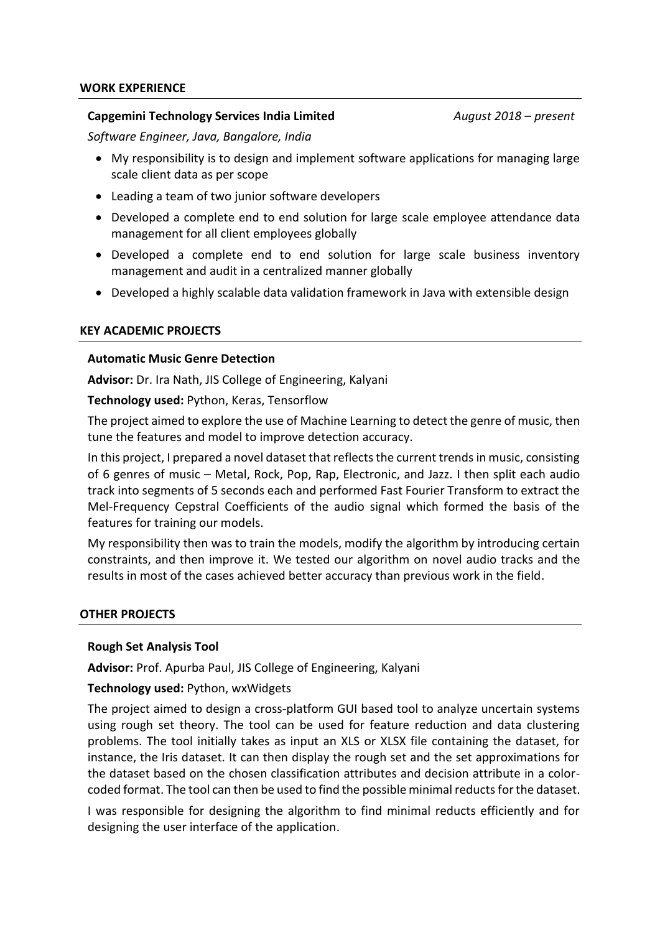#### **WORK EXPERIENCE**

#### **Capgemini Technology Services India Limited** *August 2018 – present*

*Software Engineer, Java, Bangalore, India*

- My responsibility is to design and implement software applications for managing large scale client data as per scope
- Leading a team of two junior software developers
- Developed a complete end to end solution for large scale employee attendance data management for all client employees globally
- Developed a complete end to end solution for large scale business inventory management and audit in a centralized manner globally
- Developed a highly scalable data validation framework in Java with extensible design

## **KEY ACADEMIC PROJECTS**

#### **Automatic Music Genre Detection**

**Advisor:** Dr. Ira Nath, JIS College of Engineering, Kalyani

**Technology used:** Python, Keras, Tensorflow

The project aimed to explore the use of Machine Learning to detect the genre of music, then tune the features and model to improve detection accuracy.

In this project, I prepared a novel dataset that reflects the current trends in music, consisting of 6 genres of music – Metal, Rock, Pop, Rap, Electronic, and Jazz. I then split each audio track into segments of 5 seconds each and performed Fast Fourier Transform to extract the Mel-Frequency Cepstral Coefficients of the audio signal which formed the basis of the features for training our models.

My responsibility then was to train the models, modify the algorithm by introducing certain constraints, and then improve it. We tested our algorithm on novel audio tracks and the results in most of the cases achieved better accuracy than previous work in the field.

#### **OTHER PROJECTS**

## **Rough Set Analysis Tool**

**Advisor:** Prof. Apurba Paul, JIS College of Engineering, Kalyani

## **Technology used:** Python, wxWidgets

The project aimed to design a cross-platform GUI based tool to analyze uncertain systems using rough set theory. The tool can be used for feature reduction and data clustering problems. The tool initially takes as input an XLS or XLSX file containing the dataset, for instance, the Iris dataset. It can then display the rough set and the set approximations for the dataset based on the chosen classification attributes and decision attribute in a colorcoded format. The tool can then be used to find the possible minimal reducts for the dataset.

I was responsible for designing the algorithm to find minimal reducts efficiently and for designing the user interface of the application.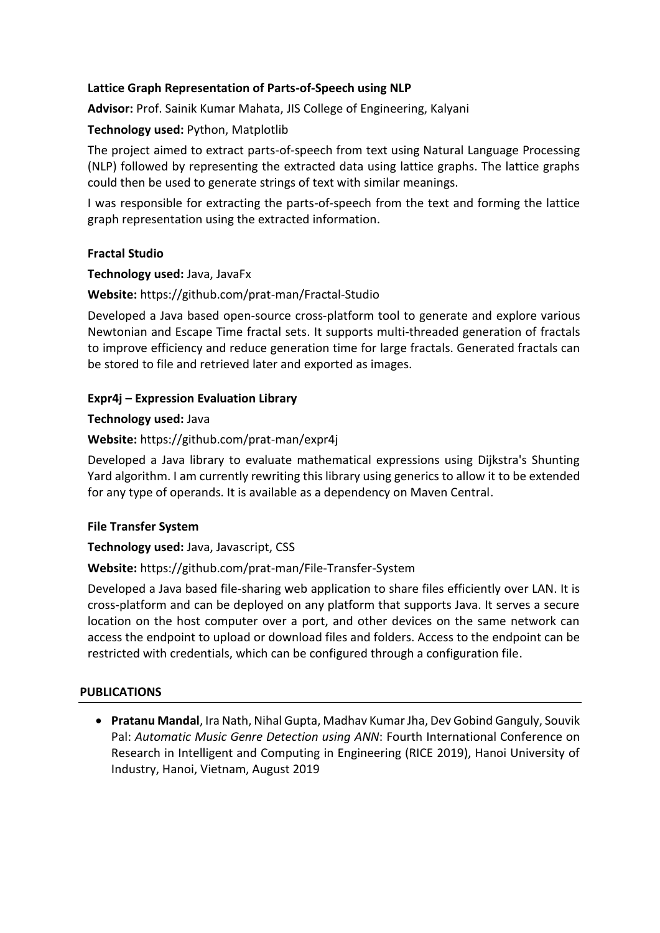# **Lattice Graph Representation of Parts-of-Speech using NLP**

**Advisor:** Prof. Sainik Kumar Mahata, JIS College of Engineering, Kalyani

# **Technology used:** Python, Matplotlib

The project aimed to extract parts-of-speech from text using Natural Language Processing (NLP) followed by representing the extracted data using lattice graphs. The lattice graphs could then be used to generate strings of text with similar meanings.

I was responsible for extracting the parts-of-speech from the text and forming the lattice graph representation using the extracted information.

## **Fractal Studio**

## **Technology used:** Java, JavaFx

# **Website:** https://github.com/prat-man/Fractal-Studio

Developed a Java based open-source cross-platform tool to generate and explore various Newtonian and Escape Time fractal sets. It supports multi-threaded generation of fractals to improve efficiency and reduce generation time for large fractals. Generated fractals can be stored to file and retrieved later and exported as images.

# **Expr4j – Expression Evaluation Library**

## **Technology used:** Java

# **Website:** https://github.com/prat-man/expr4j

Developed a Java library to evaluate mathematical expressions using Dijkstra's Shunting Yard algorithm. I am currently rewriting this library using generics to allow it to be extended for any type of operands. It is available as a dependency on Maven Central.

## **File Transfer System**

## **Technology used:** Java, Javascript, CSS

## **Website:** https://github.com/prat-man/File-Transfer-System

Developed a Java based file-sharing web application to share files efficiently over LAN. It is cross-platform and can be deployed on any platform that supports Java. It serves a secure location on the host computer over a port, and other devices on the same network can access the endpoint to upload or download files and folders. Access to the endpoint can be restricted with credentials, which can be configured through a configuration file.

## **PUBLICATIONS**

• **Pratanu Mandal**, Ira Nath, Nihal Gupta, Madhav Kumar Jha, Dev Gobind Ganguly, Souvik Pal: *Automatic Music Genre Detection using ANN*: Fourth International Conference on Research in Intelligent and Computing in Engineering (RICE 2019), Hanoi University of Industry, Hanoi, Vietnam, August 2019